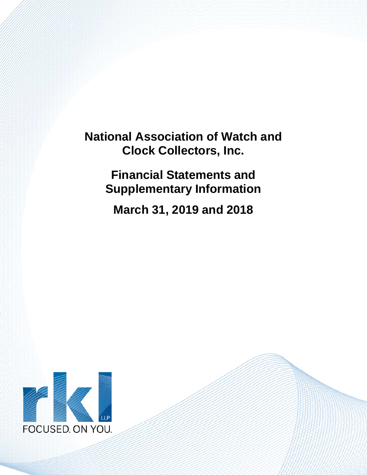> **Financial Statements and Supplementary Information**

**March 31, 2019 and 2018**

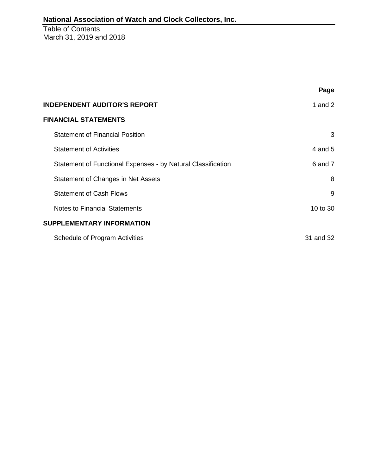Table of Contents March 31, 2019 and 2018

|                                                              | Page      |
|--------------------------------------------------------------|-----------|
| <b>INDEPENDENT AUDITOR'S REPORT</b>                          | 1 and $2$ |
| <b>FINANCIAL STATEMENTS</b>                                  |           |
| <b>Statement of Financial Position</b>                       | 3         |
| <b>Statement of Activities</b>                               | 4 and $5$ |
| Statement of Functional Expenses - by Natural Classification | 6 and 7   |
| Statement of Changes in Net Assets                           | 8         |
| <b>Statement of Cash Flows</b>                               | 9         |
| <b>Notes to Financial Statements</b>                         | 10 to 30  |
| <b>SUPPLEMENTARY INFORMATION</b>                             |           |
| Schedule of Program Activities                               | 31 and 32 |
|                                                              |           |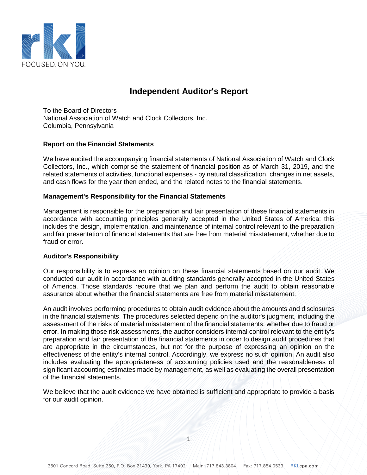

# **Independent Auditor's Report**

To the Board of Directors National Association of Watch and Clock Collectors, Inc. Columbia, Pennsylvania

#### **Report on the Financial Statements**

We have audited the accompanying financial statements of National Association of Watch and Clock Collectors, Inc., which comprise the statement of financial position as of March 31, 2019, and the related statements of activities, functional expenses - by natural classification, changes in net assets, and cash flows for the year then ended, and the related notes to the financial statements.

#### **Management's Responsibility for the Financial Statements**

Management is responsible for the preparation and fair presentation of these financial statements in accordance with accounting principles generally accepted in the United States of America; this includes the design, implementation, and maintenance of internal control relevant to the preparation and fair presentation of financial statements that are free from material misstatement, whether due to fraud or error.

#### **Auditor's Responsibility**

Our responsibility is to express an opinion on these financial statements based on our audit. We conducted our audit in accordance with auditing standards generally accepted in the United States of America. Those standards require that we plan and perform the audit to obtain reasonable assurance about whether the financial statements are free from material misstatement.

An audit involves performing procedures to obtain audit evidence about the amounts and disclosures in the financial statements. The procedures selected depend on the auditor's judgment, including the assessment of the risks of material misstatement of the financial statements, whether due to fraud or error. In making those risk assessments, the auditor considers internal control relevant to the entity's preparation and fair presentation of the financial statements in order to design audit procedures that are appropriate in the circumstances, but not for the purpose of expressing an opinion on the effectiveness of the entity's internal control. Accordingly, we express no such opinion. An audit also includes evaluating the appropriateness of accounting policies used and the reasonableness of significant accounting estimates made by management, as well as evaluating the overall presentation of the financial statements.

We believe that the audit evidence we have obtained is sufficient and appropriate to provide a basis for our audit opinion.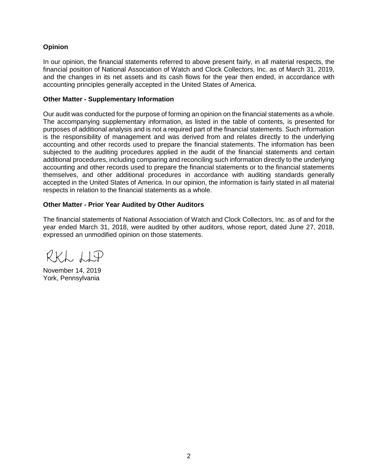### **Opinion**

In our opinion, the financial statements referred to above present fairly, in all material respects, the financial position of National Association of Watch and Clock Collectors, Inc. as of March 31, 2019, and the changes in its net assets and its cash flows for the year then ended, in accordance with accounting principles generally accepted in the United States of America.

#### **Other Matter - Supplementary Information**

Our audit was conducted for the purpose of forming an opinion on the financial statements as a whole. The accompanying supplementary information, as listed in the table of contents, is presented for purposes of additional analysis and is not a required part of the financial statements. Such information is the responsibility of management and was derived from and relates directly to the underlying accounting and other records used to prepare the financial statements. The information has been subjected to the auditing procedures applied in the audit of the financial statements and certain additional procedures, including comparing and reconciling such information directly to the underlying accounting and other records used to prepare the financial statements or to the financial statements themselves, and other additional procedures in accordance with auditing standards generally accepted in the United States of America. In our opinion, the information is fairly stated in all material respects in relation to the financial statements as a whole.

### **Other Matter - Prior Year Audited by Other Auditors**

The financial statements of National Association of Watch and Clock Collectors, Inc. as of and for the year ended March 31, 2018, were audited by other auditors, whose report, dated June 27, 2018, expressed an unmodified opinion on those statements.

RKL LIP

November 14, 2019 York, Pennsylvania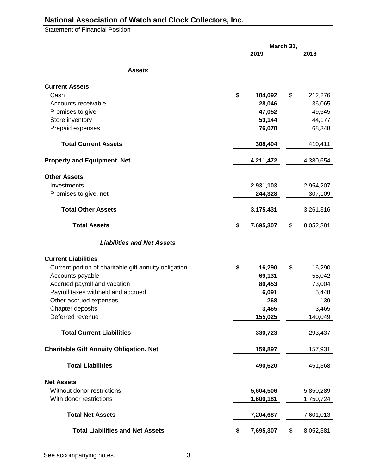Statement of Financial Position

|                                                       |                 | March 31, |           |
|-------------------------------------------------------|-----------------|-----------|-----------|
|                                                       | 2019            |           | 2018      |
| <b>Assets</b>                                         |                 |           |           |
| <b>Current Assets</b>                                 |                 |           |           |
| Cash                                                  | \$<br>104,092   | \$        | 212,276   |
| Accounts receivable                                   | 28,046          |           | 36,065    |
| Promises to give                                      | 47,052          |           | 49,545    |
| Store inventory                                       | 53,144          |           | 44,177    |
| Prepaid expenses                                      | 76,070          |           | 68,348    |
|                                                       |                 |           |           |
| <b>Total Current Assets</b>                           | 308,404         |           | 410,411   |
| <b>Property and Equipment, Net</b>                    | 4,211,472       |           | 4,380,654 |
| <b>Other Assets</b>                                   |                 |           |           |
| Investments                                           | 2,931,103       |           | 2,954,207 |
| Promises to give, net                                 | 244,328         |           | 307,109   |
| <b>Total Other Assets</b>                             | 3,175,431       |           | 3,261,316 |
| <b>Total Assets</b>                                   | \$<br>7,695,307 | \$        | 8,052,381 |
|                                                       |                 |           |           |
| <b>Liabilities and Net Assets</b>                     |                 |           |           |
| <b>Current Liabilities</b>                            |                 |           |           |
| Current portion of charitable gift annuity obligation | \$<br>16,290    | \$        | 16,290    |
| Accounts payable                                      | 69,131          |           | 55,042    |
| Accrued payroll and vacation                          | 80,453          |           | 73,004    |
| Payroll taxes withheld and accrued                    | 6,091           |           | 5,448     |
| Other accrued expenses                                | 268             |           | 139       |
| Chapter deposits                                      | 3,465           |           | 3,465     |
| Deferred revenue                                      | 155,025         |           | 140,049   |
| <b>Total Current Liabilities</b>                      | 330,723         |           | 293,437   |
| <b>Charitable Gift Annuity Obligation, Net</b>        | 159,897         |           | 157,931   |
| <b>Total Liabilities</b>                              | 490,620         |           | 451,368   |
| <b>Net Assets</b>                                     |                 |           |           |
| Without donor restrictions                            | 5,604,506       |           | 5,850,289 |
| With donor restrictions                               | 1,600,181       |           | 1,750,724 |
| <b>Total Net Assets</b>                               | 7,204,687       |           | 7,601,013 |
| <b>Total Liabilities and Net Assets</b>               | \$<br>7,695,307 | \$        | 8,052,381 |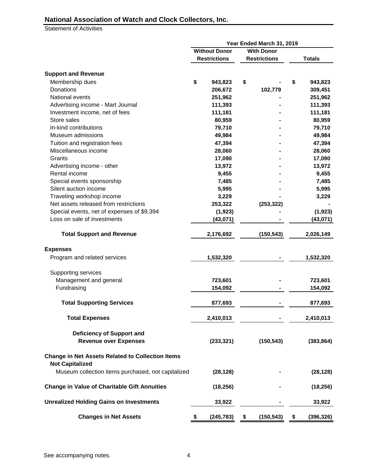Statement of Activities

|                                                                                   | Year Ended March 31, 2019 |                     |                  |  |  |  |
|-----------------------------------------------------------------------------------|---------------------------|---------------------|------------------|--|--|--|
|                                                                                   | <b>Without Donor</b>      | <b>With Donor</b>   |                  |  |  |  |
|                                                                                   | <b>Restrictions</b>       | <b>Restrictions</b> | <b>Totals</b>    |  |  |  |
| <b>Support and Revenue</b>                                                        |                           |                     |                  |  |  |  |
| Membership dues                                                                   | \$<br>943,823             | \$                  | \$<br>943,823    |  |  |  |
| Donations                                                                         | 206,672                   | 102,779             | 309,451          |  |  |  |
| National events                                                                   | 251,962                   |                     | 251,962          |  |  |  |
| Advertising income - Mart Journal                                                 | 111,393                   |                     | 111,393          |  |  |  |
| Investment income, net of fees                                                    | 111,181                   |                     | 111,181          |  |  |  |
| Store sales                                                                       | 80,959                    |                     | 80,959           |  |  |  |
| In-kind contributions                                                             | 79,710                    |                     | 79,710           |  |  |  |
| Museum admissions                                                                 | 49,984                    |                     | 49,984           |  |  |  |
| Tuition and registration fees                                                     | 47,394                    |                     | 47,394           |  |  |  |
| Miscellaneous income                                                              | 28,060                    |                     | 28,060           |  |  |  |
| Grants                                                                            | 17,090                    |                     | 17,090           |  |  |  |
| Advertising income - other                                                        | 13,972                    |                     | 13,972           |  |  |  |
| Rental income                                                                     | 9,455                     |                     | 9,455            |  |  |  |
| Special events sponsorship                                                        | 7,485                     |                     | 7,485            |  |  |  |
| Silent auction income                                                             | 5,995                     |                     | 5,995            |  |  |  |
| Traveling workshop income                                                         | 3,229                     |                     | 3,229            |  |  |  |
| Net assets released from restrictions                                             |                           |                     |                  |  |  |  |
|                                                                                   | 253,322                   | (253, 322)          | (1, 923)         |  |  |  |
| Special events, net of expenses of \$9,394<br>Loss on sale of investments         | (1, 923)                  |                     |                  |  |  |  |
|                                                                                   | (43,071)                  |                     | (43,071)         |  |  |  |
| <b>Total Support and Revenue</b>                                                  | 2,176,692                 | (150, 543)          | 2,026,149        |  |  |  |
| <b>Expenses</b>                                                                   |                           |                     |                  |  |  |  |
| Program and related services                                                      | 1,532,320                 |                     | 1,532,320        |  |  |  |
| Supporting services                                                               |                           |                     |                  |  |  |  |
| Management and general                                                            | 723,601                   |                     | 723,601          |  |  |  |
| Fundraising                                                                       | 154,092                   |                     | 154,092          |  |  |  |
| <b>Total Supporting Services</b>                                                  | 877,693                   |                     | 877,693          |  |  |  |
| <b>Total Expenses</b>                                                             | 2,410,013                 |                     | 2,410,013        |  |  |  |
|                                                                                   |                           |                     |                  |  |  |  |
| <b>Deficiency of Support and</b>                                                  |                           |                     |                  |  |  |  |
| <b>Revenue over Expenses</b>                                                      | (233, 321)                | (150, 543)          | (383, 864)       |  |  |  |
| <b>Change in Net Assets Related to Collection Items</b><br><b>Not Capitalized</b> |                           |                     |                  |  |  |  |
| Museum collection items purchased, not capitalized                                | (28, 128)                 |                     | (28, 128)        |  |  |  |
| <b>Change in Value of Charitable Gift Annuities</b>                               | (18, 256)                 |                     | (18, 256)        |  |  |  |
| <b>Unrealized Holding Gains on Investments</b>                                    | 33,922                    |                     | 33,922           |  |  |  |
| <b>Changes in Net Assets</b>                                                      | \$<br>(245, 783)          | \$<br>(150, 543)    | \$<br>(396, 326) |  |  |  |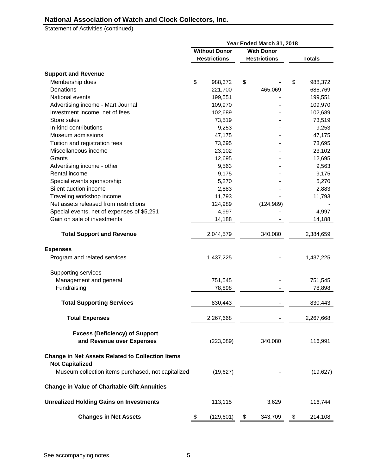Statement of Activities (continued)

|                                                                                   |                                           |  | Year Ended March 31, 2018 |    |               |
|-----------------------------------------------------------------------------------|-------------------------------------------|--|---------------------------|----|---------------|
|                                                                                   | <b>Without Donor</b><br><b>With Donor</b> |  |                           |    |               |
|                                                                                   | <b>Restrictions</b>                       |  | <b>Restrictions</b>       |    | <b>Totals</b> |
|                                                                                   |                                           |  |                           |    |               |
| <b>Support and Revenue</b>                                                        |                                           |  |                           |    |               |
| Membership dues                                                                   | \$<br>988,372                             |  | \$                        | \$ | 988,372       |
| Donations                                                                         | 221,700                                   |  | 465,069                   |    | 686,769       |
| National events                                                                   | 199,551                                   |  |                           |    | 199,551       |
| Advertising income - Mart Journal                                                 | 109,970                                   |  |                           |    | 109,970       |
| Investment income, net of fees                                                    | 102,689                                   |  |                           |    | 102,689       |
| Store sales                                                                       | 73,519                                    |  |                           |    | 73,519        |
| In-kind contributions                                                             | 9,253                                     |  |                           |    | 9,253         |
| Museum admissions                                                                 | 47,175                                    |  |                           |    | 47,175        |
| Tuition and registration fees                                                     | 73,695                                    |  |                           |    | 73,695        |
| Miscellaneous income                                                              | 23,102                                    |  |                           |    | 23,102        |
| Grants                                                                            | 12,695                                    |  |                           |    | 12,695        |
| Advertising income - other                                                        | 9,563                                     |  |                           |    | 9,563         |
| Rental income                                                                     | 9,175                                     |  |                           |    | 9,175         |
| Special events sponsorship                                                        | 5,270                                     |  |                           |    | 5,270         |
| Silent auction income                                                             | 2,883                                     |  |                           |    | 2,883         |
| Traveling workshop income                                                         | 11,793                                    |  |                           |    | 11,793        |
| Net assets released from restrictions                                             | 124,989                                   |  | (124, 989)                |    |               |
| Special events, net of expenses of \$5,291                                        | 4,997                                     |  |                           |    | 4,997         |
| Gain on sale of investments                                                       | 14,188                                    |  |                           |    | 14,188        |
| <b>Total Support and Revenue</b>                                                  | 2,044,579                                 |  | 340,080                   |    | 2,384,659     |
|                                                                                   |                                           |  |                           |    |               |
| <b>Expenses</b>                                                                   |                                           |  |                           |    |               |
| Program and related services                                                      | 1,437,225                                 |  |                           |    | 1,437,225     |
| Supporting services                                                               |                                           |  |                           |    |               |
| Management and general                                                            | 751,545                                   |  |                           |    | 751,545       |
| Fundraising                                                                       | 78,898                                    |  |                           |    | 78,898        |
| <b>Total Supporting Services</b>                                                  | 830,443                                   |  |                           |    | 830,443       |
|                                                                                   |                                           |  |                           |    |               |
| <b>Total Expenses</b>                                                             | 2,267,668                                 |  |                           |    | 2,267,668     |
| <b>Excess (Deficiency) of Support</b><br>and Revenue over Expenses                | (223,089)                                 |  | 340,080                   |    | 116,991       |
| <b>Change in Net Assets Related to Collection Items</b><br><b>Not Capitalized</b> |                                           |  |                           |    |               |
| Museum collection items purchased, not capitalized                                | (19, 627)                                 |  |                           |    | (19, 627)     |
| <b>Change in Value of Charitable Gift Annuities</b>                               |                                           |  |                           |    |               |
| <b>Unrealized Holding Gains on Investments</b>                                    | 113,115                                   |  | 3,629                     |    | 116,744       |
| <b>Changes in Net Assets</b>                                                      | \$<br>(129, 601)                          |  | \$<br>343,709             | \$ | 214,108       |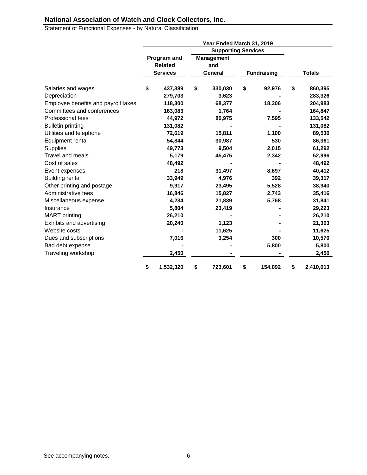Statement of Functional Expenses - by Natural Classification

|                                     |                 | Year Ended March 31, 2019  |                    |                 |
|-------------------------------------|-----------------|----------------------------|--------------------|-----------------|
|                                     |                 | <b>Supporting Services</b> |                    |                 |
|                                     | Program and     | <b>Management</b>          |                    |                 |
|                                     | <b>Related</b>  | and                        |                    |                 |
|                                     | <b>Services</b> | General                    | <b>Fundraising</b> | <b>Totals</b>   |
| Salaries and wages                  | \$<br>437,389   | \$<br>330,030              | \$<br>92,976       | \$<br>860,395   |
| Depreciation                        | 279,703         | 3,623                      |                    | 283,326         |
| Employee benefits and payroll taxes | 118,300         | 68,377                     | 18,306             | 204,983         |
| Committees and conferences          | 163,083         | 1,764                      |                    | 164,847         |
| Professional fees                   | 44,972          | 80,975                     | 7,595              | 133,542         |
| <b>Bulletin printing</b>            | 131,082         |                            |                    | 131,082         |
| Utilities and telephone             | 72,619          | 15,811                     | 1,100              | 89,530          |
| Equipment rental                    | 54,844          | 30,987                     | 530                | 86,361          |
| Supplies                            | 49,773          | 9,504                      | 2,015              | 61,292          |
| <b>Travel and meals</b>             | 5,179           | 45,475                     | 2,342              | 52,996          |
| Cost of sales                       | 48,492          |                            |                    | 48,492          |
| Event expenses                      | 218             | 31,497                     | 8,697              | 40,412          |
| <b>Building rental</b>              | 33,949          | 4,976                      | 392                | 39,317          |
| Other printing and postage          | 9,917           | 23,495                     | 5,528              | 38,940          |
| Administrative fees                 | 16,846          | 15,827                     | 2,743              | 35,416          |
| Miscellaneous expense               | 4,234           | 21,839                     | 5,768              | 31,841          |
| Insurance                           | 5,804           | 23,419                     |                    | 29,223          |
| <b>MART</b> printing                | 26,210          |                            |                    | 26,210          |
| Exhibits and advertising            | 20,240          | 1,123                      |                    | 21,363          |
| Website costs                       |                 | 11,625                     |                    | 11,625          |
| Dues and subscriptions              | 7,016           | 3,254                      | 300                | 10,570          |
| Bad debt expense                    |                 |                            | 5,800              | 5,800           |
| Traveling workshop                  | 2,450           |                            |                    | 2,450           |
|                                     | \$<br>1,532,320 | \$<br>723,601              | \$<br>154,092      | \$<br>2,410,013 |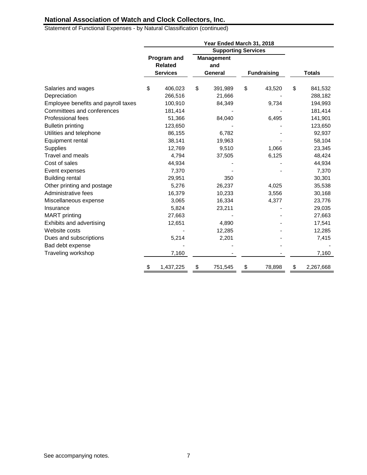Statement of Functional Expenses - by Natural Classification (continued)

|                                     |                 | Year Ended March 31, 2018  |                    |                 |
|-------------------------------------|-----------------|----------------------------|--------------------|-----------------|
|                                     |                 | <b>Supporting Services</b> |                    |                 |
|                                     | Program and     | <b>Management</b>          |                    |                 |
|                                     | <b>Related</b>  | and                        |                    |                 |
|                                     | <b>Services</b> | General                    | <b>Fundraising</b> | <b>Totals</b>   |
| Salaries and wages                  | \$<br>406,023   | \$<br>391,989              | \$<br>43,520       | \$<br>841,532   |
| Depreciation                        | 266,516         | 21,666                     |                    | 288,182         |
| Employee benefits and payroll taxes | 100,910         | 84,349                     | 9,734              | 194,993         |
| Committees and conferences          | 181,414         |                            |                    | 181,414         |
| Professional fees                   | 51,366          | 84,040                     | 6,495              | 141,901         |
| <b>Bulletin printing</b>            | 123,650         |                            |                    | 123,650         |
| Utilities and telephone             | 86,155          | 6,782                      |                    | 92,937          |
| Equipment rental                    | 38,141          | 19,963                     |                    | 58,104          |
| Supplies                            | 12,769          | 9,510                      | 1,066              | 23,345          |
| <b>Travel and meals</b>             | 4,794           | 37,505                     | 6,125              | 48,424          |
| Cost of sales                       | 44,934          |                            |                    | 44,934          |
| Event expenses                      | 7,370           |                            |                    | 7,370           |
| <b>Building rental</b>              | 29,951          | 350                        |                    | 30,301          |
| Other printing and postage          | 5,276           | 26,237                     | 4,025              | 35,538          |
| Administrative fees                 | 16,379          | 10,233                     | 3,556              | 30,168          |
| Miscellaneous expense               | 3,065           | 16,334                     | 4,377              | 23,776          |
| Insurance                           | 5,824           | 23,211                     |                    | 29,035          |
| <b>MART</b> printing                | 27,663          |                            |                    | 27,663          |
| Exhibits and advertising            | 12,651          | 4,890                      |                    | 17,541          |
| Website costs                       |                 | 12,285                     |                    | 12,285          |
| Dues and subscriptions              | 5,214           | 2,201                      |                    | 7,415           |
| Bad debt expense                    |                 |                            |                    |                 |
| Traveling workshop                  | 7,160           |                            |                    | 7,160           |
|                                     | \$<br>1,437,225 | \$<br>751,545              | \$<br>78,898       | \$<br>2,267,668 |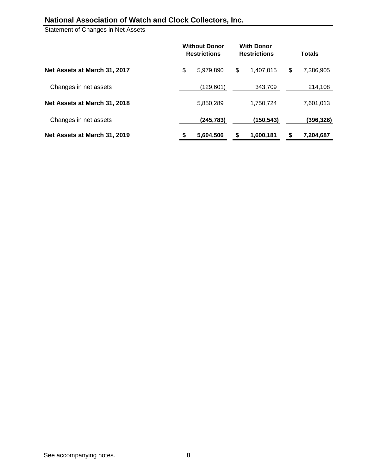Statement of Changes in Net Assets

|                              |    | <b>Without Donor</b><br><b>Restrictions</b> | <b>With Donor</b><br><b>Restrictions</b> |           |    | <b>Totals</b> |  |
|------------------------------|----|---------------------------------------------|------------------------------------------|-----------|----|---------------|--|
| Net Assets at March 31, 2017 | \$ | 5,979,890                                   | \$                                       | 1,407,015 | \$ | 7,386,905     |  |
| Changes in net assets        |    | (129,601)                                   |                                          | 343,709   |    | 214,108       |  |
| Net Assets at March 31, 2018 |    | 5,850,289                                   |                                          | 1,750,724 |    | 7,601,013     |  |
| Changes in net assets        |    | (245, 783)                                  |                                          | (150,543) |    | (396,326)     |  |
| Net Assets at March 31, 2019 | S  | 5,604,506                                   | S                                        | 1,600,181 | S  | 7,204,687     |  |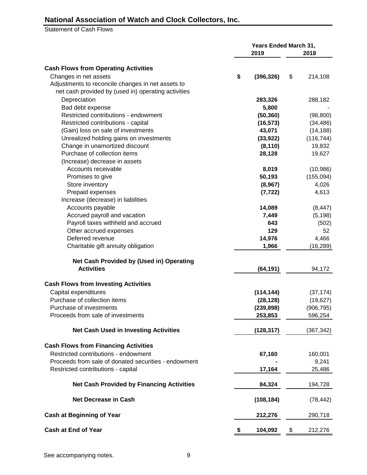Statement of Cash Flows

|                                                                           | <b>Years Ended March 31,</b> |                       |    |            |  |
|---------------------------------------------------------------------------|------------------------------|-----------------------|----|------------|--|
|                                                                           |                              | 2019                  |    | 2018       |  |
| <b>Cash Flows from Operating Activities</b>                               |                              |                       |    |            |  |
| Changes in net assets                                                     | \$                           | (396, 326)            | \$ | 214,108    |  |
| Adjustments to reconcile changes in net assets to                         |                              |                       |    |            |  |
| net cash provided by (used in) operating activities                       |                              |                       |    |            |  |
| Depreciation                                                              |                              | 283,326               |    | 288,182    |  |
| Bad debt expense                                                          |                              | 5,800                 |    |            |  |
| Restricted contributions - endowment                                      |                              | (50, 360)             |    | (98, 800)  |  |
| Restricted contributions - capital                                        |                              | (16, 573)             |    | (34, 486)  |  |
| (Gain) loss on sale of investments                                        |                              | 43,071                |    | (14, 188)  |  |
|                                                                           |                              |                       |    | (116, 744) |  |
| Unrealized holding gains on investments<br>Change in unamortized discount |                              | (33, 922)<br>(8, 110) |    | 19,832     |  |
| Purchase of collection items                                              |                              |                       |    |            |  |
|                                                                           |                              | 28,128                |    | 19,627     |  |
| (Increase) decrease in assets                                             |                              |                       |    |            |  |
| Accounts receivable                                                       |                              | 8,019                 |    | (10, 986)  |  |
| Promises to give                                                          |                              | 50,193                |    | (155,094)  |  |
| Store inventory                                                           |                              | (8,967)               |    | 4,026      |  |
| Prepaid expenses                                                          |                              | (7, 722)              |    | 4,613      |  |
| Increase (decrease) in liabilities                                        |                              |                       |    |            |  |
| Accounts payable                                                          |                              | 14,089                |    | (8, 447)   |  |
| Accrued payroll and vacation                                              |                              | 7,449                 |    | (5, 198)   |  |
| Payroll taxes withheld and accrued                                        |                              | 643                   |    | (502)      |  |
| Other accrued expenses                                                    |                              | 129                   |    | 52         |  |
| Deferred revenue                                                          |                              | 14,976                |    | 4,466      |  |
| Charitable gift annuity obligation                                        |                              | 1,966                 |    | (16, 289)  |  |
| Net Cash Provided by (Used in) Operating                                  |                              |                       |    |            |  |
| <b>Activities</b>                                                         |                              | (64, 191)             |    | 94,172     |  |
| <b>Cash Flows from Investing Activities</b>                               |                              |                       |    |            |  |
| Capital expenditures                                                      |                              | (114, 144)            |    | (37, 174)  |  |
| Purchase of collection items                                              |                              | (28, 128)             |    | (19, 627)  |  |
| Purchase of investments                                                   |                              | (239, 898)            |    | (906, 795) |  |
| Proceeds from sale of investments                                         |                              | 253,853               |    | 596,254    |  |
| <b>Net Cash Used in Investing Activities</b>                              |                              | (128, 317)            |    | (367, 342) |  |
| <b>Cash Flows from Financing Activities</b>                               |                              |                       |    |            |  |
| Restricted contributions - endowment                                      |                              | 67,160                |    | 160,001    |  |
| Proceeds from sale of donated securities - endowment                      |                              |                       |    | 9,241      |  |
| Restricted contributions - capital                                        |                              | 17,164                |    | 25,486     |  |
| <b>Net Cash Provided by Financing Activities</b>                          |                              | 84,324                |    | 194,728    |  |
| <b>Net Decrease in Cash</b>                                               |                              | (108, 184)            |    | (78, 442)  |  |
| <b>Cash at Beginning of Year</b>                                          |                              | 212,276               |    | 290,718    |  |
| <b>Cash at End of Year</b>                                                | \$                           | 104,092               | \$ | 212,276    |  |
|                                                                           |                              |                       |    |            |  |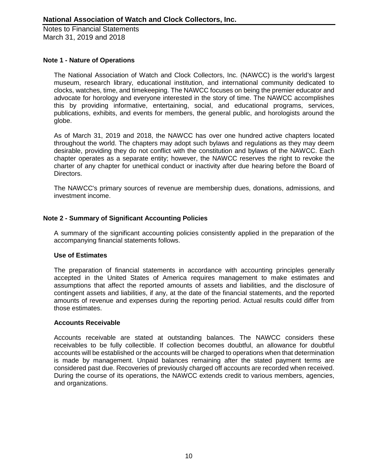### **Note 1 - Nature of Operations**

The National Association of Watch and Clock Collectors, Inc. (NAWCC) is the world's largest museum, research library, educational institution, and international community dedicated to clocks, watches, time, and timekeeping. The NAWCC focuses on being the premier educator and advocate for horology and everyone interested in the story of time. The NAWCC accomplishes this by providing informative, entertaining, social, and educational programs, services, publications, exhibits, and events for members, the general public, and horologists around the globe.

As of March 31, 2019 and 2018, the NAWCC has over one hundred active chapters located throughout the world. The chapters may adopt such bylaws and regulations as they may deem desirable, providing they do not conflict with the constitution and bylaws of the NAWCC. Each chapter operates as a separate entity; however, the NAWCC reserves the right to revoke the charter of any chapter for unethical conduct or inactivity after due hearing before the Board of Directors.

The NAWCC's primary sources of revenue are membership dues, donations, admissions, and investment income.

## **Note 2 - Summary of Significant Accounting Policies**

A summary of the significant accounting policies consistently applied in the preparation of the accompanying financial statements follows.

### **Use of Estimates**

The preparation of financial statements in accordance with accounting principles generally accepted in the United States of America requires management to make estimates and assumptions that affect the reported amounts of assets and liabilities, and the disclosure of contingent assets and liabilities, if any, at the date of the financial statements, and the reported amounts of revenue and expenses during the reporting period. Actual results could differ from those estimates.

#### **Accounts Receivable**

Accounts receivable are stated at outstanding balances. The NAWCC considers these receivables to be fully collectible. If collection becomes doubtful, an allowance for doubtful accounts will be established or the accounts will be charged to operations when that determination is made by management. Unpaid balances remaining after the stated payment terms are considered past due. Recoveries of previously charged off accounts are recorded when received. During the course of its operations, the NAWCC extends credit to various members, agencies, and organizations.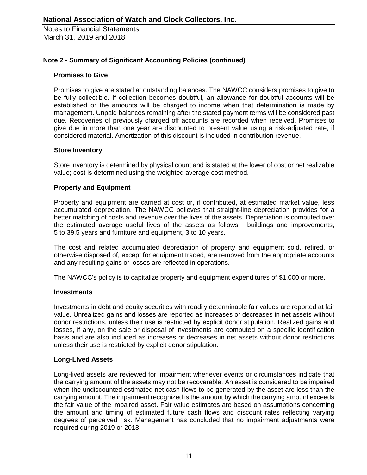### **Note 2 - Summary of Significant Accounting Policies (continued)**

#### **Promises to Give**

Promises to give are stated at outstanding balances. The NAWCC considers promises to give to be fully collectible. If collection becomes doubtful, an allowance for doubtful accounts will be established or the amounts will be charged to income when that determination is made by management. Unpaid balances remaining after the stated payment terms will be considered past due. Recoveries of previously charged off accounts are recorded when received. Promises to give due in more than one year are discounted to present value using a risk-adjusted rate, if considered material. Amortization of this discount is included in contribution revenue.

#### **Store Inventory**

Store inventory is determined by physical count and is stated at the lower of cost or net realizable value; cost is determined using the weighted average cost method.

#### **Property and Equipment**

Property and equipment are carried at cost or, if contributed, at estimated market value, less accumulated depreciation. The NAWCC believes that straight-line depreciation provides for a better matching of costs and revenue over the lives of the assets. Depreciation is computed over the estimated average useful lives of the assets as follows: buildings and improvements, 5 to 39.5 years and furniture and equipment, 3 to 10 years.

The cost and related accumulated depreciation of property and equipment sold, retired, or otherwise disposed of, except for equipment traded, are removed from the appropriate accounts and any resulting gains or losses are reflected in operations.

The NAWCC's policy is to capitalize property and equipment expenditures of \$1,000 or more.

#### **Investments**

Investments in debt and equity securities with readily determinable fair values are reported at fair value. Unrealized gains and losses are reported as increases or decreases in net assets without donor restrictions, unless their use is restricted by explicit donor stipulation. Realized gains and losses, if any, on the sale or disposal of investments are computed on a specific identification basis and are also included as increases or decreases in net assets without donor restrictions unless their use is restricted by explicit donor stipulation.

#### **Long-Lived Assets**

Long-lived assets are reviewed for impairment whenever events or circumstances indicate that the carrying amount of the assets may not be recoverable. An asset is considered to be impaired when the undiscounted estimated net cash flows to be generated by the asset are less than the carrying amount. The impairment recognized is the amount by which the carrying amount exceeds the fair value of the impaired asset. Fair value estimates are based on assumptions concerning the amount and timing of estimated future cash flows and discount rates reflecting varying degrees of perceived risk. Management has concluded that no impairment adjustments were required during 2019 or 2018.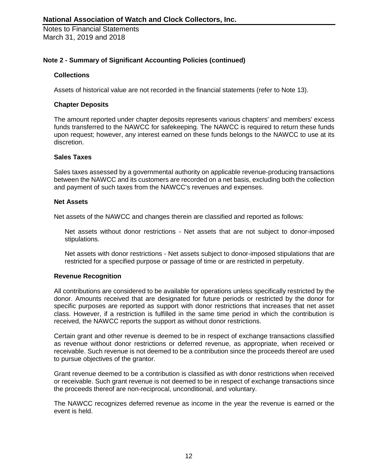### **Note 2 - Summary of Significant Accounting Policies (continued)**

### **Collections**

Assets of historical value are not recorded in the financial statements (refer to Note 13).

#### **Chapter Deposits**

The amount reported under chapter deposits represents various chapters' and members' excess funds transferred to the NAWCC for safekeeping. The NAWCC is required to return these funds upon request; however, any interest earned on these funds belongs to the NAWCC to use at its discretion.

#### **Sales Taxes**

Sales taxes assessed by a governmental authority on applicable revenue-producing transactions between the NAWCC and its customers are recorded on a net basis, excluding both the collection and payment of such taxes from the NAWCC's revenues and expenses.

#### **Net Assets**

Net assets of the NAWCC and changes therein are classified and reported as follows:

Net assets without donor restrictions - Net assets that are not subject to donor-imposed stipulations.

Net assets with donor restrictions - Net assets subject to donor-imposed stipulations that are restricted for a specified purpose or passage of time or are restricted in perpetuity.

### **Revenue Recognition**

All contributions are considered to be available for operations unless specifically restricted by the donor. Amounts received that are designated for future periods or restricted by the donor for specific purposes are reported as support with donor restrictions that increases that net asset class. However, if a restriction is fulfilled in the same time period in which the contribution is received, the NAWCC reports the support as without donor restrictions.

Certain grant and other revenue is deemed to be in respect of exchange transactions classified as revenue without donor restrictions or deferred revenue, as appropriate, when received or receivable. Such revenue is not deemed to be a contribution since the proceeds thereof are used to pursue objectives of the grantor.

Grant revenue deemed to be a contribution is classified as with donor restrictions when received or receivable. Such grant revenue is not deemed to be in respect of exchange transactions since the proceeds thereof are non-reciprocal, unconditional, and voluntary.

The NAWCC recognizes deferred revenue as income in the year the revenue is earned or the event is held.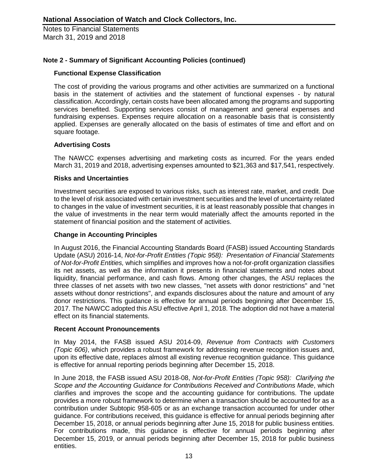### **Note 2 - Summary of Significant Accounting Policies (continued)**

### **Functional Expense Classification**

The cost of providing the various programs and other activities are summarized on a functional basis in the statement of activities and the statement of functional expenses - by natural classification. Accordingly, certain costs have been allocated among the programs and supporting services benefited. Supporting services consist of management and general expenses and fundraising expenses. Expenses require allocation on a reasonable basis that is consistently applied. Expenses are generally allocated on the basis of estimates of time and effort and on square footage.

### **Advertising Costs**

The NAWCC expenses advertising and marketing costs as incurred. For the years ended March 31, 2019 and 2018, advertising expenses amounted to \$21,363 and \$17,541, respectively.

### **Risks and Uncertainties**

Investment securities are exposed to various risks, such as interest rate, market, and credit. Due to the level of risk associated with certain investment securities and the level of uncertainty related to changes in the value of investment securities, it is at least reasonably possible that changes in the value of investments in the near term would materially affect the amounts reported in the statement of financial position and the statement of activities.

#### **Change in Accounting Principles**

In August 2016, the Financial Accounting Standards Board (FASB) issued Accounting Standards Update (ASU) 2016-14, *Not-for-Profit Entities (Topic 958): Presentation of Financial Statements of Not-for-Profit Entities,* which simplifies and improves how a not-for-profit organization classifies its net assets, as well as the information it presents in financial statements and notes about liquidity, financial performance, and cash flows. Among other changes, the ASU replaces the three classes of net assets with two new classes, "net assets with donor restrictions" and "net assets without donor restrictions", and expands disclosures about the nature and amount of any donor restrictions. This guidance is effective for annual periods beginning after December 15, 2017. The NAWCC adopted this ASU effective April 1, 2018. The adoption did not have a material effect on its financial statements.

#### **Recent Account Pronouncements**

In May 2014, the FASB issued ASU 2014-09, *Revenue from Contracts with Customers (Topic 606)*, which provides a robust framework for addressing revenue recognition issues and, upon its effective date, replaces almost all existing revenue recognition guidance. This guidance is effective for annual reporting periods beginning after December 15, 2018.

In June 2018, the FASB issued ASU 2018-08, *Not-for-Profit Entities (Topic 958): Clarifying the Scope and the Accounting Guidance for Contributions Received and Contributions Made*, which clarifies and improves the scope and the accounting guidance for contributions. The update provides a more robust framework to determine when a transaction should be accounted for as a contribution under Subtopic 958-605 or as an exchange transaction accounted for under other guidance. For contributions received, this guidance is effective for annual periods beginning after December 15, 2018, or annual periods beginning after June 15, 2018 for public business entities. For contributions made, this guidance is effective for annual periods beginning after December 15, 2019, or annual periods beginning after December 15, 2018 for public business entities.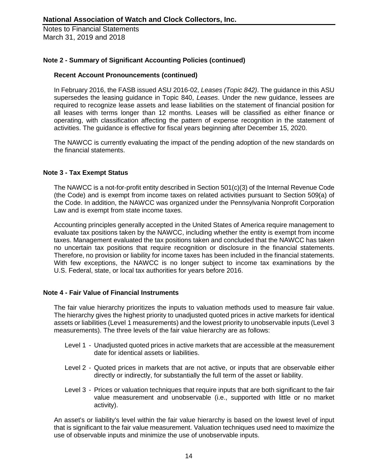### **Note 2 - Summary of Significant Accounting Policies (continued)**

### **Recent Account Pronouncements (continued)**

In February 2016, the FASB issued ASU 2016-02, *Leases (Topic 842)*. The guidance in this ASU supersedes the leasing guidance in Topic 840, *Leases*. Under the new guidance, lessees are required to recognize lease assets and lease liabilities on the statement of financial position for all leases with terms longer than 12 months. Leases will be classified as either finance or operating, with classification affecting the pattern of expense recognition in the statement of activities. The guidance is effective for fiscal years beginning after December 15, 2020.

The NAWCC is currently evaluating the impact of the pending adoption of the new standards on the financial statements.

### **Note 3 - Tax Exempt Status**

The NAWCC is a not-for-profit entity described in Section 501(c)(3) of the Internal Revenue Code (the Code) and is exempt from income taxes on related activities pursuant to Section 509(a) of the Code. In addition, the NAWCC was organized under the Pennsylvania Nonprofit Corporation Law and is exempt from state income taxes.

Accounting principles generally accepted in the United States of America require management to evaluate tax positions taken by the NAWCC, including whether the entity is exempt from income taxes. Management evaluated the tax positions taken and concluded that the NAWCC has taken no uncertain tax positions that require recognition or disclosure in the financial statements. Therefore, no provision or liability for income taxes has been included in the financial statements. With few exceptions, the NAWCC is no longer subject to income tax examinations by the U.S. Federal, state, or local tax authorities for years before 2016.

### **Note 4 - Fair Value of Financial Instruments**

The fair value hierarchy prioritizes the inputs to valuation methods used to measure fair value. The hierarchy gives the highest priority to unadjusted quoted prices in active markets for identical assets or liabilities (Level 1 measurements) and the lowest priority to unobservable inputs (Level 3 measurements). The three levels of the fair value hierarchy are as follows:

- Level 1 Unadjusted quoted prices in active markets that are accessible at the measurement date for identical assets or liabilities.
- Level 2 Quoted prices in markets that are not active, or inputs that are observable either directly or indirectly, for substantially the full term of the asset or liability.
- Level 3 Prices or valuation techniques that require inputs that are both significant to the fair value measurement and unobservable (i.e., supported with little or no market activity).

An asset's or liability's level within the fair value hierarchy is based on the lowest level of input that is significant to the fair value measurement. Valuation techniques used need to maximize the use of observable inputs and minimize the use of unobservable inputs.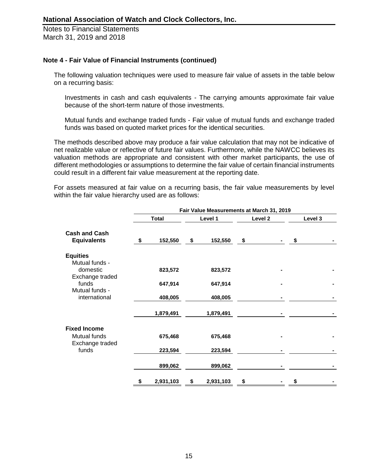### **Note 4 - Fair Value of Financial Instruments (continued)**

The following valuation techniques were used to measure fair value of assets in the table below on a recurring basis:

Investments in cash and cash equivalents - The carrying amounts approximate fair value because of the short-term nature of those investments.

Mutual funds and exchange traded funds - Fair value of mutual funds and exchange traded funds was based on quoted market prices for the identical securities.

The methods described above may produce a fair value calculation that may not be indicative of net realizable value or reflective of future fair values. Furthermore, while the NAWCC believes its valuation methods are appropriate and consistent with other market participants, the use of different methodologies or assumptions to determine the fair value of certain financial instruments could result in a different fair value measurement at the reporting date.

For assets measured at fair value on a recurring basis, the fair value measurements by level within the fair value hierarchy used are as follows:

|                                            |                 | Fair Value Measurements at March 31, 2019 |                    |         |  |
|--------------------------------------------|-----------------|-------------------------------------------|--------------------|---------|--|
|                                            | <b>Total</b>    | Level 1                                   | Level <sub>2</sub> | Level 3 |  |
| <b>Cash and Cash</b><br><b>Equivalents</b> | \$<br>152,550   | \$<br>152,550                             | \$                 | \$      |  |
| <b>Equities</b><br>Mutual funds -          |                 |                                           |                    |         |  |
| domestic<br>Exchange traded                | 823,572         | 823,572                                   |                    |         |  |
| funds<br>Mutual funds -                    | 647,914         | 647,914                                   |                    |         |  |
| international                              | 408,005         | 408,005                                   |                    |         |  |
|                                            | 1,879,491       | 1,879,491                                 |                    |         |  |
| <b>Fixed Income</b>                        |                 |                                           |                    |         |  |
| Mutual funds<br>Exchange traded            | 675,468         | 675,468                                   |                    |         |  |
| funds                                      | 223,594         | 223,594                                   |                    |         |  |
|                                            | 899,062         | 899,062                                   |                    |         |  |
|                                            | \$<br>2,931,103 | \$<br>2,931,103                           | \$                 | \$      |  |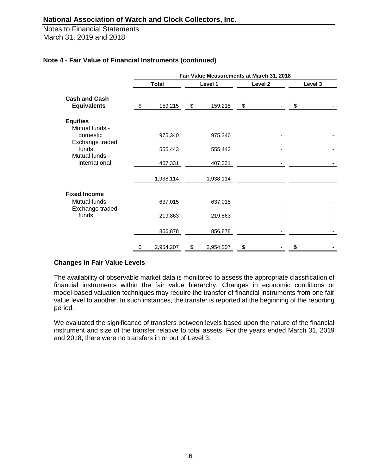Notes to Financial Statements March 31, 2019 and 2018

|                                            |                 | Fair Value Measurements at March 31, 2018 |         |         |  |
|--------------------------------------------|-----------------|-------------------------------------------|---------|---------|--|
|                                            | <b>Total</b>    | Level 1                                   | Level 2 | Level 3 |  |
| <b>Cash and Cash</b><br><b>Equivalents</b> | \$<br>159,215   | \$<br>159,215                             | \$      | \$      |  |
| <b>Equities</b><br>Mutual funds -          |                 |                                           |         |         |  |
| domestic<br>Exchange traded                | 975,340         | 975,340                                   |         |         |  |
| funds<br>Mutual funds -                    | 555,443         | 555,443                                   |         |         |  |
| international                              | 407,331         | 407,331                                   |         |         |  |
|                                            | 1,938,114       | 1,938,114                                 |         |         |  |
| <b>Fixed Income</b>                        |                 |                                           |         |         |  |
| Mutual funds<br>Exchange traded            | 637,015         | 637,015                                   |         |         |  |
| funds                                      | 219,863         | 219,863                                   |         |         |  |
|                                            | 856,878         | 856,878                                   |         |         |  |
|                                            | \$<br>2,954,207 | \$<br>2,954,207                           | \$      | \$      |  |

### **Note 4 - Fair Value of Financial Instruments (continued)**

### **Changes in Fair Value Levels**

The availability of observable market data is monitored to assess the appropriate classification of financial instruments within the fair value hierarchy. Changes in economic conditions or model-based valuation techniques may require the transfer of financial instruments from one fair value level to another. In such instances, the transfer is reported at the beginning of the reporting period.

We evaluated the significance of transfers between levels based upon the nature of the financial instrument and size of the transfer relative to total assets. For the years ended March 31, 2019 and 2018, there were no transfers in or out of Level 3.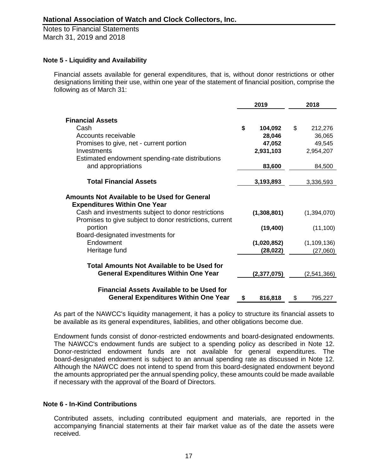### **Note 5 - Liquidity and Availability**

Financial assets available for general expenditures, that is, without donor restrictions or other designations limiting their use, within one year of the statement of financial position, comprise the following as of March 31:

|                                                                                                                                                  | 2019          | 2018          |
|--------------------------------------------------------------------------------------------------------------------------------------------------|---------------|---------------|
| <b>Financial Assets</b>                                                                                                                          |               |               |
| Cash                                                                                                                                             |               |               |
|                                                                                                                                                  | \$<br>104,092 | \$<br>212,276 |
| Accounts receivable                                                                                                                              | 28,046        | 36,065        |
| Promises to give, net - current portion                                                                                                          | 47,052        | 49,545        |
| Investments                                                                                                                                      | 2,931,103     | 2,954,207     |
| Estimated endowment spending-rate distributions                                                                                                  |               |               |
| and appropriations                                                                                                                               | 83,600        | 84,500        |
| <b>Total Financial Assets</b>                                                                                                                    | 3,193,893     | 3,336,593     |
| <b>Amounts Not Available to be Used for General</b><br><b>Expenditures Within One Year</b><br>Cash and investments subject to donor restrictions | (1,308,801)   | (1,394,070)   |
| Promises to give subject to donor restrictions, current                                                                                          |               |               |
| portion<br>Board-designated investments for                                                                                                      | (19, 400)     | (11, 100)     |
| Endowment                                                                                                                                        | (1,020,852)   | (1, 109, 136) |
| Heritage fund                                                                                                                                    | (28, 022)     | (27,060)      |
| Total Amounts Not Available to be Used for                                                                                                       |               |               |
| <b>General Expenditures Within One Year</b>                                                                                                      | (2,377,075)   | (2,541,366)   |
| <b>Financial Assets Available to be Used for</b><br><b>General Expenditures Within One Year</b>                                                  | \$<br>816,818 | \$<br>795,227 |
|                                                                                                                                                  |               |               |

As part of the NAWCC's liquidity management, it has a policy to structure its financial assets to be available as its general expenditures, liabilities, and other obligations become due.

Endowment funds consist of donor-restricted endowments and board-designated endowments. The NAWCC's endowment funds are subject to a spending policy as described in Note 12. Donor-restricted endowment funds are not available for general expenditures. The board-designated endowment is subject to an annual spending rate as discussed in Note 12. Although the NAWCC does not intend to spend from this board-designated endowment beyond the amounts appropriated per the annual spending policy, these amounts could be made available if necessary with the approval of the Board of Directors.

## **Note 6 - In-Kind Contributions**

Contributed assets, including contributed equipment and materials, are reported in the accompanying financial statements at their fair market value as of the date the assets were received.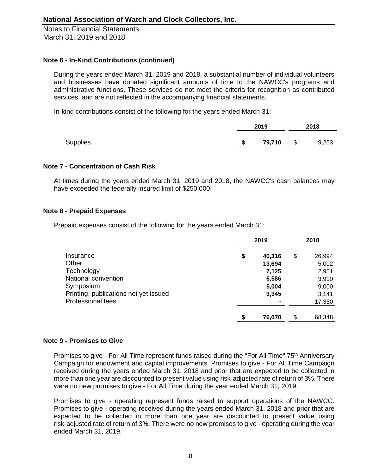### **Note 6 - In-Kind Contributions (continued)**

During the years ended March 31, 2019 and 2018, a substantial number of individual volunteers and businesses have donated significant amounts of time to the NAWCC's programs and administrative functions. These services do not meet the criteria for recognition as contributed services, and are not reflected in the accompanying financial statements.

In-kind contributions consist of the following for the years ended March 31:

|                 |    | 2019   |              | 2018  |  |
|-----------------|----|--------|--------------|-------|--|
| <b>Supplies</b> | S. | 79,710 | $\mathbb{S}$ | 9,253 |  |

### **Note 7 - Concentration of Cash Risk**

At times during the years ended March 31, 2019 and 2018, the NAWCC's cash balances may have exceeded the federally insured limit of \$250,000.

### **Note 8 - Prepaid Expenses**

Prepaid expenses consist of the following for the years ended March 31:

|                                                    | 2019                     | 2018                   |
|----------------------------------------------------|--------------------------|------------------------|
| Insurance<br>Other                                 | \$<br>40,316<br>13,694   | \$<br>26,994<br>5,002  |
| Technology<br>National convention                  | 7,125<br>6,586           | 2,951<br>3,910         |
| Symposium<br>Printing, publications not yet issued | 5,004<br>3,345           | 9,000<br>3,141         |
| <b>Professional fees</b>                           | $\blacksquare$<br>76,070 | \$<br>17,350<br>68,348 |

### **Note 9 - Promises to Give**

Promises to give - For All Time represent funds raised during the "For All Time" 75<sup>th</sup> Anniversary Campaign for endowment and capital improvements. Promises to give - For All Time Campaign received during the years ended March 31, 2018 and prior that are expected to be collected in more than one year are discounted to present value using risk-adjusted rate of return of 3%. There were no new promises to give - For All Time during the year ended March 31, 2019.

Promises to give - operating represent funds raised to support operations of the NAWCC. Promises to give - operating received during the years ended March 31, 2018 and prior that are expected to be collected in more than one year are discounted to present value using risk-adjusted rate of return of 3%. There were no new promises to give - operating during the year ended March 31, 2019.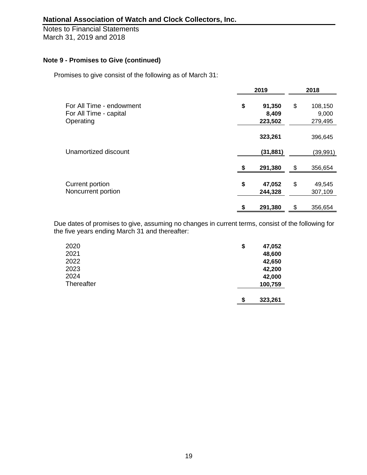Notes to Financial Statements March 31, 2019 and 2018

# **Note 9 - Promises to Give (continued)**

Promises to give consist of the following as of March 31:

|                                                                 | 2019                             | 2018                              |
|-----------------------------------------------------------------|----------------------------------|-----------------------------------|
| For All Time - endowment<br>For All Time - capital<br>Operating | \$<br>91,350<br>8,409<br>223,502 | \$<br>108,150<br>9,000<br>279,495 |
|                                                                 | 323,261                          | 396,645                           |
| Unamortized discount                                            | (31, 881)                        | (39, 991)                         |
|                                                                 | 291,380                          | \$<br>356,654                     |
| Current portion<br>Noncurrent portion                           | \$<br>47,052<br>244,328          | \$<br>49,545<br>307,109           |
|                                                                 | 291,380                          | \$<br>356,654                     |

Due dates of promises to give, assuming no changes in current terms, consist of the following for the five years ending March 31 and thereafter:

| 2020       | \$ | 47,052  |
|------------|----|---------|
| 2021       |    | 48,600  |
| 2022       |    | 42,650  |
| 2023       |    | 42,200  |
| 2024       |    | 42,000  |
| Thereafter |    | 100,759 |
|            |    |         |
|            | S  | 323,261 |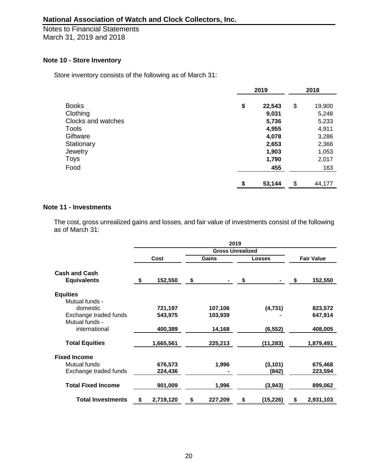### **Note 10 - Store Inventory**

Store inventory consists of the following as of March 31:

|                    | 2019         | 2018         |
|--------------------|--------------|--------------|
| <b>Books</b>       | \$<br>22,543 | \$<br>19,900 |
| Clothing           | 9,031        | 5,248        |
| Clocks and watches | 5,736        | 5,233        |
| <b>Tools</b>       | 4,955        | 4,911        |
| Giftware           | 4,078        | 3,286        |
| Stationary         | 2,653        | 2,366        |
| Jewelry            | 1,903        | 1,053        |
| Toys               | 1,790        | 2,017        |
| Food               | 455          | 163          |
|                    | \$<br>53,144 | \$<br>44,177 |

### **Note 11 - Investments**

The cost, gross unrealized gains and losses, and fair value of investments consist of the following as of March 31:

|                                            |                 | 2019                    |                |                   |           |
|--------------------------------------------|-----------------|-------------------------|----------------|-------------------|-----------|
|                                            |                 | <b>Gross Unrealized</b> |                |                   |           |
|                                            | Cost            | Gains                   | <b>Losses</b>  | <b>Fair Value</b> |           |
| <b>Cash and Cash</b><br><b>Equivalents</b> | \$<br>152,550   | \$                      | \$             | \$                | 152,550   |
| <b>Equities</b>                            |                 |                         |                |                   |           |
| Mutual funds -                             |                 |                         |                |                   |           |
| domestic                                   | 721,197         | 107,106                 | (4,731)        |                   | 823,572   |
| Exchange traded funds                      | 543,975         | 103,939                 |                |                   | 647,914   |
| Mutual funds -                             |                 |                         |                |                   |           |
| international                              | 400,389         | 14,168                  | (6, 552)       |                   | 408,005   |
|                                            |                 |                         |                |                   |           |
| <b>Total Equities</b>                      | 1,665,561       | 225,213                 | (11, 283)      |                   | 1,879,491 |
| <b>Fixed Income</b>                        |                 |                         |                |                   |           |
| Mutual funds                               | 676,573         | 1,996                   | (3, 101)       |                   | 675,468   |
| Exchange traded funds                      | 224,436         |                         | (842)          |                   | 223,594   |
|                                            |                 |                         |                |                   |           |
| <b>Total Fixed Income</b>                  | 901,009         | 1,996                   | (3,943)        |                   | 899,062   |
|                                            |                 |                         |                |                   |           |
| <b>Total Investments</b>                   | \$<br>2,719,120 | \$<br>227,209           | \$<br>(15,226) | \$                | 2,931,103 |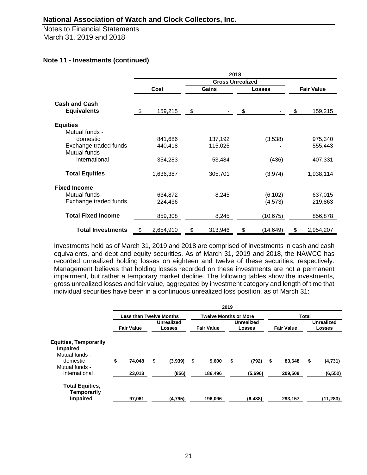Notes to Financial Statements March 31, 2019 and 2018

### **Note 11 - Investments (continued)**

|                                            | 2018 |           |    |                         |    |           |                   |           |  |  |  |
|--------------------------------------------|------|-----------|----|-------------------------|----|-----------|-------------------|-----------|--|--|--|
|                                            |      |           |    | <b>Gross Unrealized</b> |    |           |                   |           |  |  |  |
|                                            |      | Cost      |    | Gains                   |    | Losses    | <b>Fair Value</b> |           |  |  |  |
| <b>Cash and Cash</b><br><b>Equivalents</b> | \$   | 159,215   | \$ |                         | \$ |           | \$                | 159,215   |  |  |  |
| <b>Equities</b>                            |      |           |    |                         |    |           |                   |           |  |  |  |
| Mutual funds -                             |      |           |    |                         |    |           |                   |           |  |  |  |
| domestic                                   |      | 841,686   |    | 137,192                 |    | (3,538)   |                   | 975,340   |  |  |  |
| Exchange traded funds                      |      | 440,418   |    | 115,025                 |    |           |                   | 555,443   |  |  |  |
| Mutual funds -                             |      |           |    |                         |    |           |                   |           |  |  |  |
| international                              |      | 354,283   |    | 53,484                  |    | (436)     |                   | 407,331   |  |  |  |
| <b>Total Equities</b>                      |      | 1,636,387 |    | 305,701                 |    | (3,974)   |                   | 1,938,114 |  |  |  |
| <b>Fixed Income</b>                        |      |           |    |                         |    |           |                   |           |  |  |  |
| Mutual funds                               |      | 634,872   |    | 8,245                   |    | (6, 102)  |                   | 637,015   |  |  |  |
| Exchange traded funds                      |      | 224,436   |    |                         |    | (4, 573)  |                   | 219,863   |  |  |  |
| <b>Total Fixed Income</b>                  |      | 859,308   |    | 8,245                   |    | (10, 675) |                   | 856,878   |  |  |  |
| <b>Total Investments</b>                   | \$   | 2,654,910 | \$ | 313,946                 | \$ | (14,649)  | \$                | 2,954,207 |  |  |  |

Investments held as of March 31, 2019 and 2018 are comprised of investments in cash and cash equivalents, and debt and equity securities. As of March 31, 2019 and 2018, the NAWCC has recorded unrealized holding losses on eighteen and twelve of these securities, respectively. Management believes that holding losses recorded on these investments are not a permanent impairment, but rather a temporary market decline. The following tables show the investments, gross unrealized losses and fair value, aggregated by investment category and length of time that individual securities have been in a continuous unrealized loss position, as of March 31:

|                                                                   | 2019 |                                |    |                                    |    |                              |    |                                    |    |                   |    |                                    |  |
|-------------------------------------------------------------------|------|--------------------------------|----|------------------------------------|----|------------------------------|----|------------------------------------|----|-------------------|----|------------------------------------|--|
|                                                                   |      | <b>Less than Twelve Months</b> |    |                                    |    | <b>Twelve Months or More</b> |    |                                    |    | <b>Total</b>      |    |                                    |  |
|                                                                   |      | <b>Fair Value</b>              |    | <b>Unrealized</b><br><b>Losses</b> |    | <b>Fair Value</b>            |    | <b>Unrealized</b><br><b>Losses</b> |    | <b>Fair Value</b> |    | <b>Unrealized</b><br><b>Losses</b> |  |
| <b>Equities, Temporarily</b><br><b>Impaired</b><br>Mutual funds - |      |                                |    |                                    |    |                              |    |                                    |    |                   |    |                                    |  |
| domestic<br>Mutual funds -                                        | \$   | 74,048                         | \$ | (3,939)                            | \$ | 9,600                        | \$ | (792)                              | \$ | 83,648            | \$ | (4,731)                            |  |
| international                                                     |      | 23,013                         |    | (856)                              |    | 186,496                      |    | (5,696)                            |    | 209,509           |    | (6, 552)                           |  |
| <b>Total Equities,</b><br>Temporarily                             |      |                                |    |                                    |    |                              |    |                                    |    |                   |    |                                    |  |
| <b>Impaired</b>                                                   |      | 97.061                         |    | (4,795)                            |    | 196.096                      |    | (6, 488)                           |    | 293.157           |    | (11, 283)                          |  |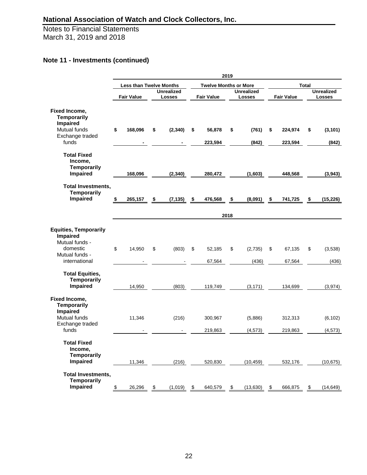Notes to Financial Statements March 31, 2019 and 2018

# **Note 11 - Investments (continued)**

|                                                                                                                  |               |                                |               |                             |                              |                    | 2019          |                                    |               |                    |               |                                    |  |
|------------------------------------------------------------------------------------------------------------------|---------------|--------------------------------|---------------|-----------------------------|------------------------------|--------------------|---------------|------------------------------------|---------------|--------------------|---------------|------------------------------------|--|
|                                                                                                                  |               | <b>Less than Twelve Months</b> |               |                             | <b>Twelve Months or More</b> |                    |               |                                    |               | <b>Total</b>       |               |                                    |  |
|                                                                                                                  |               | <b>Fair Value</b>              |               | <b>Unrealized</b><br>Losses |                              | <b>Fair Value</b>  |               | <b>Unrealized</b><br><b>Losses</b> |               | <b>Fair Value</b>  |               | <b>Unrealized</b><br><b>Losses</b> |  |
| Fixed Income,<br><b>Temporarily</b><br>Impaired<br>Mutual funds<br>Exchange traded<br>funds                      | \$            | 168,096                        | \$            | (2, 340)                    | \$                           | 56,878<br>223,594  | \$            | (761)<br>(842)                     | \$            | 224,974<br>223,594 | \$            | (3, 101)<br>(842)                  |  |
| <b>Total Fixed</b><br>Income,<br><b>Temporarily</b><br>Impaired                                                  |               | 168,096                        |               | (2, 340)                    |                              | 280,472            |               | (1,603)                            |               | 448,568            |               | (3,943)                            |  |
| <b>Total Investments,</b><br><b>Temporarily</b><br>Impaired                                                      | \$            | 265,157                        | \$            | (7, 135)                    | \$                           | 476,568            | \$            | (8,091)                            | \$            | 741,725            | \$            | (15, 226)                          |  |
|                                                                                                                  |               |                                |               |                             |                              |                    | 2018          |                                    |               |                    |               |                                    |  |
| <b>Equities, Temporarily</b><br><b>Impaired</b><br>Mutual funds -<br>domestic<br>Mutual funds -<br>international | \$            | 14,950                         | \$            | (803)                       | \$                           | 52,185<br>67,564   | \$            | (2,735)<br>(436)                   | \$            | 67,135<br>67,564   | \$            | (3,538)<br>(436)                   |  |
| <b>Total Equities,</b><br><b>Temporarily</b><br><b>Impaired</b>                                                  |               | 14,950                         |               | (803)                       |                              | 119,749            |               | (3, 171)                           |               | 134,699            |               | (3, 974)                           |  |
| Fixed Income,<br><b>Temporarily</b><br><b>Impaired</b><br>Mutual funds<br>Exchange traded<br>funds               |               | 11,346                         |               | (216)                       |                              | 300,967<br>219,863 |               | (5,886)<br>(4, 573)                |               | 312,313<br>219,863 |               | (6, 102)<br>(4, 573)               |  |
| <b>Total Fixed</b><br>Income,<br><b>Temporarily</b><br><b>Impaired</b>                                           |               | 11,346                         |               | (216)                       |                              | 520,830            |               | (10, 459)                          |               | 532,176            |               | (10, 675)                          |  |
| <b>Total Investments,</b><br><b>Temporarily</b><br><b>Impaired</b>                                               | $\frac{1}{2}$ | 26,296                         | $\frac{1}{2}$ | (1,019)                     | $\frac{1}{2}$                | 640,579            | $\frac{1}{2}$ | (13, 630)                          | $\frac{1}{2}$ | 666,875            | $\frac{3}{2}$ | (14, 649)                          |  |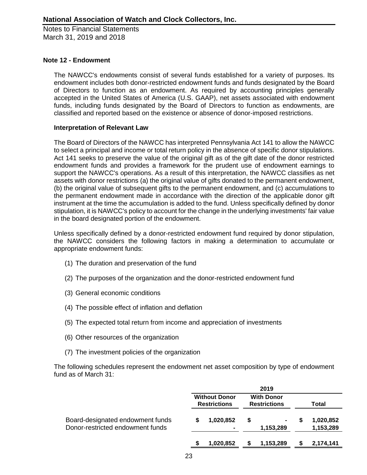### **Note 12 - Endowment**

The NAWCC's endowments consist of several funds established for a variety of purposes. Its endowment includes both donor-restricted endowment funds and funds designated by the Board of Directors to function as an endowment. As required by accounting principles generally accepted in the United States of America (U.S. GAAP), net assets associated with endowment funds, including funds designated by the Board of Directors to function as endowments, are classified and reported based on the existence or absence of donor-imposed restrictions.

### **Interpretation of Relevant Law**

The Board of Directors of the NAWCC has interpreted Pennsylvania Act 141 to allow the NAWCC to select a principal and income or total return policy in the absence of specific donor stipulations. Act 141 seeks to preserve the value of the original gift as of the gift date of the donor restricted endowment funds and provides a framework for the prudent use of endowment earnings to support the NAWCC's operations. As a result of this interpretation, the NAWCC classifies as net assets with donor restrictions (a) the original value of gifts donated to the permanent endowment, (b) the original value of subsequent gifts to the permanent endowment, and (c) accumulations to the permanent endowment made in accordance with the direction of the applicable donor gift instrument at the time the accumulation is added to the fund. Unless specifically defined by donor stipulation, it is NAWCC's policy to account for the change in the underlying investments' fair value in the board designated portion of the endowment.

Unless specifically defined by a donor-restricted endowment fund required by donor stipulation, the NAWCC considers the following factors in making a determination to accumulate or appropriate endowment funds:

- (1) The duration and preservation of the fund
- (2) The purposes of the organization and the donor-restricted endowment fund
- (3) General economic conditions
- (4) The possible effect of inflation and deflation
- (5) The expected total return from income and appreciation of investments
- (6) Other resources of the organization
- (7) The investment policies of the organization

The following schedules represent the endowment net asset composition by type of endowment fund as of March 31:

|                                                                      |                                             |   | 2019                                     |   |                        |
|----------------------------------------------------------------------|---------------------------------------------|---|------------------------------------------|---|------------------------|
|                                                                      | <b>Without Donor</b><br><b>Restrictions</b> |   | <b>With Donor</b><br><b>Restrictions</b> |   | Total                  |
| Board-designated endowment funds<br>Donor-restricted endowment funds | 1,020,852                                   | S | 1,153,289                                | S | 1,020,852<br>1,153,289 |
|                                                                      | 1,020,852                                   |   | 1,153,289                                |   | 2,174,141              |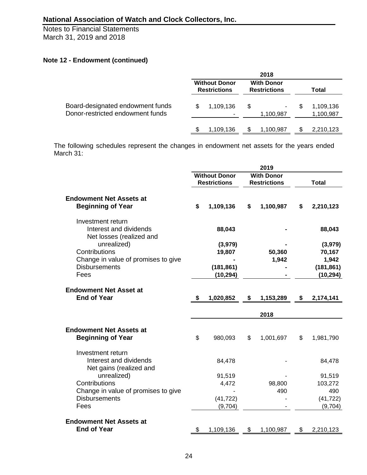# **Note 12 - Endowment (continued)**

|                                                                      |   |                                             |     | 2018                                     |   |                        |
|----------------------------------------------------------------------|---|---------------------------------------------|-----|------------------------------------------|---|------------------------|
|                                                                      |   | <b>Without Donor</b><br><b>Restrictions</b> |     | <b>With Donor</b><br><b>Restrictions</b> |   | Total                  |
| Board-designated endowment funds<br>Donor-restricted endowment funds | S | 1,109,136                                   | \$  | $\blacksquare$<br>1,100,987              | S | 1,109,136<br>1,100,987 |
|                                                                      |   | 1,109,136                                   | \$. | 1,100,987                                |   | 2,210,123              |

The following schedules represent the changes in endowment net assets for the years ended March 31:

| <b>Without Donor</b><br><b>With Donor</b><br><b>Restrictions</b><br><b>Restrictions</b><br><b>Total</b><br><b>Endowment Net Assets at</b><br><b>Beginning of Year</b><br>\$<br>1,109,136<br>\$<br>1,100,987<br>\$<br>2,210,123<br>Investment return<br>Interest and dividends<br>88,043<br>88,043<br>Net losses (realized and<br>unrealized)<br>(3,979)<br>(3,979)<br>Contributions<br>50,360<br>70,167<br>19,807<br>Change in value of promises to give<br>1,942<br>1,942<br><b>Disbursements</b><br>(181, 861)<br>(181, 861)<br>Fees<br>(10, 294)<br>(10, 294)<br><b>Endowment Net Asset at</b><br><b>End of Year</b><br>\$<br>1,020,852<br>\$<br>1,153,289<br>\$<br>2,174,141<br>2018<br><b>Endowment Net Assets at</b><br><b>Beginning of Year</b><br>\$<br>980,093<br>\$<br>1,001,697<br>\$<br>1,981,790<br>Investment return<br>Interest and dividends<br>84,478<br>84,478<br>Net gains (realized and<br>unrealized)<br>91,519<br>91,519<br>Contributions<br>103,272<br>4,472<br>98,800<br>Change in value of promises to give<br>490<br>490<br><b>Disbursements</b><br>(41, 722)<br>(41, 722)<br>Fees<br>(9,704)<br>(9,704)<br><b>Endowment Net Assets at</b><br><b>End of Year</b><br>\$<br>\$<br>1,109,136<br>1,100,987<br>\$<br>2,210,123 |  |  | 2019 |  |
|-----------------------------------------------------------------------------------------------------------------------------------------------------------------------------------------------------------------------------------------------------------------------------------------------------------------------------------------------------------------------------------------------------------------------------------------------------------------------------------------------------------------------------------------------------------------------------------------------------------------------------------------------------------------------------------------------------------------------------------------------------------------------------------------------------------------------------------------------------------------------------------------------------------------------------------------------------------------------------------------------------------------------------------------------------------------------------------------------------------------------------------------------------------------------------------------------------------------------------------------------------|--|--|------|--|
|                                                                                                                                                                                                                                                                                                                                                                                                                                                                                                                                                                                                                                                                                                                                                                                                                                                                                                                                                                                                                                                                                                                                                                                                                                                     |  |  |      |  |
|                                                                                                                                                                                                                                                                                                                                                                                                                                                                                                                                                                                                                                                                                                                                                                                                                                                                                                                                                                                                                                                                                                                                                                                                                                                     |  |  |      |  |
|                                                                                                                                                                                                                                                                                                                                                                                                                                                                                                                                                                                                                                                                                                                                                                                                                                                                                                                                                                                                                                                                                                                                                                                                                                                     |  |  |      |  |
|                                                                                                                                                                                                                                                                                                                                                                                                                                                                                                                                                                                                                                                                                                                                                                                                                                                                                                                                                                                                                                                                                                                                                                                                                                                     |  |  |      |  |
|                                                                                                                                                                                                                                                                                                                                                                                                                                                                                                                                                                                                                                                                                                                                                                                                                                                                                                                                                                                                                                                                                                                                                                                                                                                     |  |  |      |  |
|                                                                                                                                                                                                                                                                                                                                                                                                                                                                                                                                                                                                                                                                                                                                                                                                                                                                                                                                                                                                                                                                                                                                                                                                                                                     |  |  |      |  |
|                                                                                                                                                                                                                                                                                                                                                                                                                                                                                                                                                                                                                                                                                                                                                                                                                                                                                                                                                                                                                                                                                                                                                                                                                                                     |  |  |      |  |
|                                                                                                                                                                                                                                                                                                                                                                                                                                                                                                                                                                                                                                                                                                                                                                                                                                                                                                                                                                                                                                                                                                                                                                                                                                                     |  |  |      |  |
|                                                                                                                                                                                                                                                                                                                                                                                                                                                                                                                                                                                                                                                                                                                                                                                                                                                                                                                                                                                                                                                                                                                                                                                                                                                     |  |  |      |  |
|                                                                                                                                                                                                                                                                                                                                                                                                                                                                                                                                                                                                                                                                                                                                                                                                                                                                                                                                                                                                                                                                                                                                                                                                                                                     |  |  |      |  |
|                                                                                                                                                                                                                                                                                                                                                                                                                                                                                                                                                                                                                                                                                                                                                                                                                                                                                                                                                                                                                                                                                                                                                                                                                                                     |  |  |      |  |
|                                                                                                                                                                                                                                                                                                                                                                                                                                                                                                                                                                                                                                                                                                                                                                                                                                                                                                                                                                                                                                                                                                                                                                                                                                                     |  |  |      |  |
|                                                                                                                                                                                                                                                                                                                                                                                                                                                                                                                                                                                                                                                                                                                                                                                                                                                                                                                                                                                                                                                                                                                                                                                                                                                     |  |  |      |  |
|                                                                                                                                                                                                                                                                                                                                                                                                                                                                                                                                                                                                                                                                                                                                                                                                                                                                                                                                                                                                                                                                                                                                                                                                                                                     |  |  |      |  |
|                                                                                                                                                                                                                                                                                                                                                                                                                                                                                                                                                                                                                                                                                                                                                                                                                                                                                                                                                                                                                                                                                                                                                                                                                                                     |  |  |      |  |
|                                                                                                                                                                                                                                                                                                                                                                                                                                                                                                                                                                                                                                                                                                                                                                                                                                                                                                                                                                                                                                                                                                                                                                                                                                                     |  |  |      |  |
|                                                                                                                                                                                                                                                                                                                                                                                                                                                                                                                                                                                                                                                                                                                                                                                                                                                                                                                                                                                                                                                                                                                                                                                                                                                     |  |  |      |  |
|                                                                                                                                                                                                                                                                                                                                                                                                                                                                                                                                                                                                                                                                                                                                                                                                                                                                                                                                                                                                                                                                                                                                                                                                                                                     |  |  |      |  |
|                                                                                                                                                                                                                                                                                                                                                                                                                                                                                                                                                                                                                                                                                                                                                                                                                                                                                                                                                                                                                                                                                                                                                                                                                                                     |  |  |      |  |
|                                                                                                                                                                                                                                                                                                                                                                                                                                                                                                                                                                                                                                                                                                                                                                                                                                                                                                                                                                                                                                                                                                                                                                                                                                                     |  |  |      |  |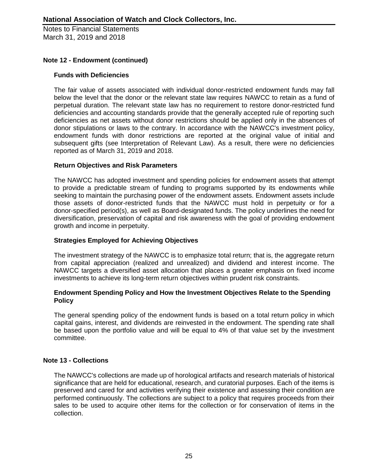### **Note 12 - Endowment (continued)**

### **Funds with Deficiencies**

The fair value of assets associated with individual donor-restricted endowment funds may fall below the level that the donor or the relevant state law requires NAWCC to retain as a fund of perpetual duration. The relevant state law has no requirement to restore donor-restricted fund deficiencies and accounting standards provide that the generally accepted rule of reporting such deficiencies as net assets without donor restrictions should be applied only in the absences of donor stipulations or laws to the contrary. In accordance with the NAWCC's investment policy, endowment funds with donor restrictions are reported at the original value of initial and subsequent gifts (see Interpretation of Relevant Law). As a result, there were no deficiencies reported as of March 31, 2019 and 2018.

### **Return Objectives and Risk Parameters**

The NAWCC has adopted investment and spending policies for endowment assets that attempt to provide a predictable stream of funding to programs supported by its endowments while seeking to maintain the purchasing power of the endowment assets. Endowment assets include those assets of donor-restricted funds that the NAWCC must hold in perpetuity or for a donor-specified period(s), as well as Board-designated funds. The policy underlines the need for diversification, preservation of capital and risk awareness with the goal of providing endowment growth and income in perpetuity.

### **Strategies Employed for Achieving Objectives**

The investment strategy of the NAWCC is to emphasize total return; that is, the aggregate return from capital appreciation (realized and unrealized) and dividend and interest income. The NAWCC targets a diversified asset allocation that places a greater emphasis on fixed income investments to achieve its long-term return objectives within prudent risk constraints.

### **Endowment Spending Policy and How the Investment Objectives Relate to the Spending Policy**

The general spending policy of the endowment funds is based on a total return policy in which capital gains, interest, and dividends are reinvested in the endowment. The spending rate shall be based upon the portfolio value and will be equal to 4% of that value set by the investment committee.

### **Note 13 - Collections**

The NAWCC's collections are made up of horological artifacts and research materials of historical significance that are held for educational, research, and curatorial purposes. Each of the items is preserved and cared for and activities verifying their existence and assessing their condition are performed continuously. The collections are subject to a policy that requires proceeds from their sales to be used to acquire other items for the collection or for conservation of items in the collection.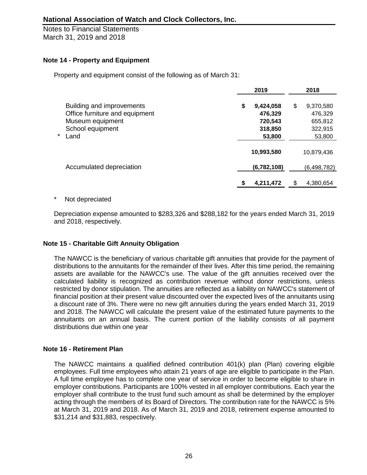Notes to Financial Statements March 31, 2019 and 2018

### **Note 14 - Property and Equipment**

Property and equipment consist of the following as of March 31:

|                                                                                                                  |    | 2019                                                 | 2018                                                       |
|------------------------------------------------------------------------------------------------------------------|----|------------------------------------------------------|------------------------------------------------------------|
| Building and improvements<br>Office furniture and equipment<br>Museum equipment<br>School equipment<br>*<br>Land | \$ | 9,424,058<br>476,329<br>720,543<br>318,850<br>53,800 | \$<br>9,370,580<br>476,329<br>655,812<br>322,915<br>53,800 |
|                                                                                                                  |    | 10,993,580                                           | 10,879,436                                                 |
| Accumulated depreciation                                                                                         |    | (6,782,108)                                          | (6, 498, 782)                                              |
|                                                                                                                  |    | 4,211,472                                            | 4,380,654                                                  |

### Not depreciated

Depreciation expense amounted to \$283,326 and \$288,182 for the years ended March 31, 2019 and 2018, respectively.

## **Note 15 - Charitable Gift Annuity Obligation**

The NAWCC is the beneficiary of various charitable gift annuities that provide for the payment of distributions to the annuitants for the remainder of their lives. After this time period, the remaining assets are available for the NAWCC's use. The value of the gift annuities received over the calculated liability is recognized as contribution revenue without donor restrictions, unless restricted by donor stipulation. The annuities are reflected as a liability on NAWCC's statement of financial position at their present value discounted over the expected lives of the annuitants using a discount rate of 3%. There were no new gift annuities during the years ended March 31, 2019 and 2018. The NAWCC will calculate the present value of the estimated future payments to the annuitants on an annual basis. The current portion of the liability consists of all payment distributions due within one year

### **Note 16 - Retirement Plan**

The NAWCC maintains a qualified defined contribution 401(k) plan (Plan) covering eligible employees. Full time employees who attain 21 years of age are eligible to participate in the Plan. A full time employee has to complete one year of service in order to become eligible to share in employer contributions. Participants are 100% vested in all employer contributions. Each year the employer shall contribute to the trust fund such amount as shall be determined by the employer acting through the members of its Board of Directors. The contribution rate for the NAWCC is 5% at March 31, 2019 and 2018. As of March 31, 2019 and 2018, retirement expense amounted to \$31,214 and \$31,883, respectively.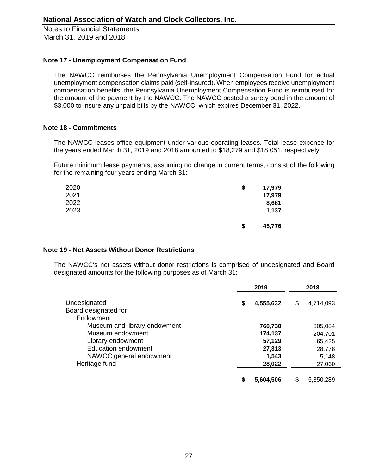### **Note 17 - Unemployment Compensation Fund**

The NAWCC reimburses the Pennsylvania Unemployment Compensation Fund for actual unemployment compensation claims paid (self-insured). When employees receive unemployment compensation benefits, the Pennsylvania Unemployment Compensation Fund is reimbursed for the amount of the payment by the NAWCC. The NAWCC posted a surety bond in the amount of \$3,000 to insure any unpaid bills by the NAWCC, which expires December 31, 2022.

### **Note 18 - Commitments**

The NAWCC leases office equipment under various operating leases. Total lease expense for the years ended March 31, 2019 and 2018 amounted to \$18,279 and \$18,051, respectively.

Future minimum lease payments, assuming no change in current terms, consist of the following for the remaining four years ending March 31:

| 2020 | \$ | 17,979 |
|------|----|--------|
| 2021 |    | 17,979 |
| 2022 |    | 8,681  |
| 2023 |    | 1,137  |
|      |    |        |
|      | S  | 45,776 |

### **Note 19 - Net Assets Without Donor Restrictions**

The NAWCC's net assets without donor restrictions is comprised of undesignated and Board designated amounts for the following purposes as of March 31:

|                              |    | 2019      |    | 2018      |  |
|------------------------------|----|-----------|----|-----------|--|
| Undesignated                 | \$ | 4,555,632 | \$ | 4,714,093 |  |
| Board designated for         |    |           |    |           |  |
| Endowment                    |    |           |    |           |  |
| Museum and library endowment |    | 760,730   |    | 805,084   |  |
| Museum endowment             |    | 174,137   |    | 204,701   |  |
| Library endowment            |    | 57,129    |    | 65,425    |  |
| <b>Education endowment</b>   |    | 27,313    |    | 28,778    |  |
| NAWCC general endowment      |    | 1,543     |    | 5,148     |  |
| Heritage fund                |    | 28,022    |    | 27,060    |  |
|                              | \$ | 5,604,506 | \$ | 5,850,289 |  |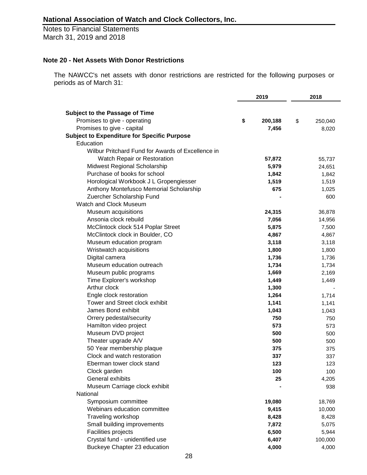### **Note 20 - Net Assets With Donor Restrictions**

The NAWCC's net assets with donor restrictions are restricted for the following purposes or periods as of March 31:

|                                                                       | 2019 |         | 2018          |  |
|-----------------------------------------------------------------------|------|---------|---------------|--|
|                                                                       |      |         |               |  |
| <b>Subject to the Passage of Time</b><br>Promises to give - operating | \$   | 200,188 | \$<br>250,040 |  |
| Promises to give - capital                                            |      | 7,456   |               |  |
| <b>Subject to Expenditure for Specific Purpose</b>                    |      |         | 8,020         |  |
| Education                                                             |      |         |               |  |
| Wilbur Pritchard Fund for Awards of Excellence in                     |      |         |               |  |
| Watch Repair or Restoration                                           |      |         |               |  |
|                                                                       |      | 57,872  | 55,737        |  |
| Midwest Regional Scholarship<br>Purchase of books for school          |      | 5,979   | 24,651        |  |
|                                                                       |      | 1,842   | 1,842         |  |
| Horological Workbook J L Gropengiesser                                |      | 1,519   | 1,519         |  |
| Anthony Montefusco Memorial Scholarship                               |      | 675     | 1,025         |  |
| Zuercher Scholarship Fund                                             |      |         | 600           |  |
| Watch and Clock Museum                                                |      |         |               |  |
| Museum acquisitions                                                   |      | 24,315  | 36,878        |  |
| Ansonia clock rebuild                                                 |      | 7,056   | 14,956        |  |
| McClintock clock 514 Poplar Street                                    |      | 5,875   | 7,500         |  |
| McClintock clock in Boulder, CO                                       |      | 4,867   | 4,867         |  |
| Museum education program                                              |      | 3,118   | 3,118         |  |
| Wristwatch acquisitions                                               |      | 1,800   | 1,800         |  |
| Digital camera                                                        |      | 1,736   | 1,736         |  |
| Museum education outreach                                             |      | 1,734   | 1,734         |  |
| Museum public programs                                                |      | 1,669   | 2,169         |  |
| Time Explorer's workshop                                              |      | 1,449   | 1,449         |  |
| Arthur clock                                                          |      | 1,300   |               |  |
| Engle clock restoration                                               |      | 1,264   | 1,714         |  |
| Tower and Street clock exhibit                                        |      | 1,141   | 1,141         |  |
| James Bond exhibit                                                    |      | 1,043   | 1,043         |  |
| Orrery pedestal/security                                              |      | 750     | 750           |  |
| Hamilton video project                                                |      | 573     | 573           |  |
| Museum DVD project                                                    |      | 500     | 500           |  |
| Theater upgrade A/V                                                   |      | 500     | 500           |  |
| 50 Year membership plaque                                             |      | 375     | 375           |  |
| Clock and watch restoration                                           |      | 337     | 337           |  |
| Eberman tower clock stand                                             |      | 123     | 123           |  |
| Clock garden                                                          |      | 100     | 100           |  |
| General exhibits                                                      |      | 25      | 4,205         |  |
| Museum Carriage clock exhibit                                         |      |         | 938           |  |
| National                                                              |      |         |               |  |
| Symposium committee                                                   |      | 19,080  | 18,769        |  |
| Webinars education committee                                          |      | 9,415   | 10,000        |  |
| Traveling workshop                                                    |      | 8,428   | 8,428         |  |
| Small building improvements                                           |      | 7,872   | 5,075         |  |
| Facilities projects                                                   |      | 6,500   | 5,944         |  |
| Crystal fund - unidentified use                                       |      | 6,407   | 100,000       |  |
| Buckeye Chapter 23 education                                          |      | 4,000   | 4,000         |  |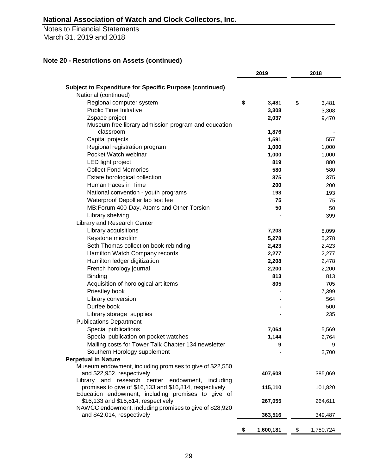Notes to Financial Statements March 31, 2019 and 2018

# **Note 20 - Restrictions on Assets (continued)**

|                                                                                     | 2019 |           | 2018 |           |
|-------------------------------------------------------------------------------------|------|-----------|------|-----------|
| <b>Subject to Expenditure for Specific Purpose (continued)</b>                      |      |           |      |           |
| National (continued)                                                                |      |           |      |           |
| Regional computer system                                                            | \$   | 3,481     | \$   | 3,481     |
| <b>Public Time Initiative</b>                                                       |      | 3,308     |      | 3,308     |
| Zspace project                                                                      |      | 2,037     |      | 9,470     |
| Museum free library admission program and education                                 |      |           |      |           |
| classroom                                                                           |      | 1,876     |      |           |
| Capital projects                                                                    |      | 1,591     |      | 557       |
| Regional registration program                                                       |      | 1,000     |      | 1,000     |
| Pocket Watch webinar                                                                |      | 1,000     |      | 1,000     |
| LED light project                                                                   |      | 819       |      | 880       |
| <b>Collect Fond Memories</b>                                                        |      | 580       |      | 580       |
| Estate horological collection                                                       |      | 375       |      | 375       |
| Human Faces in Time                                                                 |      | 200       |      | 200       |
| National convention - youth programs                                                |      | 193       |      | 193       |
| Waterproof Depollier lab test fee                                                   |      | 75        |      | 75        |
| MB: Forum 400-Day, Atoms and Other Torsion                                          |      | 50        |      | 50        |
| Library shelving                                                                    |      |           |      | 399       |
| Library and Research Center                                                         |      |           |      |           |
| Library acquisitions                                                                |      | 7,203     |      | 8,099     |
| Keystone microfilm                                                                  |      | 5,278     |      | 5,278     |
| Seth Thomas collection book rebinding                                               |      | 2,423     |      | 2,423     |
| Hamilton Watch Company records                                                      |      | 2,277     |      | 2,277     |
| Hamilton ledger digitization                                                        |      | 2,208     |      | 2,478     |
| French horology journal                                                             |      | 2,200     |      | 2,200     |
| <b>Binding</b>                                                                      |      | 813       |      | 813       |
| Acquisition of horological art items                                                |      | 805       |      | 705       |
| Priestley book                                                                      |      |           |      | 7,399     |
| Library conversion                                                                  |      |           |      | 564       |
| Durfee book                                                                         |      |           |      | 500       |
| Library storage supplies                                                            |      |           |      | 235       |
| <b>Publications Department</b>                                                      |      |           |      |           |
| Special publications                                                                |      | 7,064     |      | 5,569     |
| Special publication on pocket watches                                               |      | 1,144     |      | 2,764     |
| Mailing costs for Tower Talk Chapter 134 newsletter<br>Southern Horology supplement |      | 9         |      | 9         |
| <b>Perpetual in Nature</b>                                                          |      |           |      | 2,700     |
| Museum endowment, including promises to give of \$22,550                            |      |           |      |           |
| and \$22,952, respectively                                                          |      | 407,608   |      | 385,069   |
| Library and research center endowment,<br>including                                 |      |           |      |           |
| promises to give of \$16,133 and \$16,814, respectively                             |      | 115,110   |      | 101,820   |
| Education endowment, including promises to give of                                  |      |           |      |           |
| \$16,133 and \$16,814, respectively                                                 |      | 267,055   |      | 264,611   |
| NAWCC endowment, including promises to give of \$28,920                             |      |           |      |           |
| and \$42,014, respectively                                                          |      | 363,516   |      | 349,487   |
|                                                                                     |      |           |      |           |
|                                                                                     | \$   | 1,600,181 | \$   | 1,750,724 |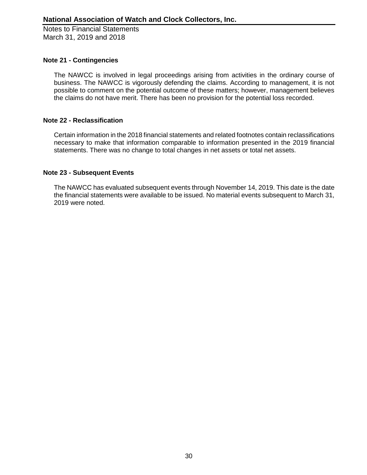### **Note 21 - Contingencies**

The NAWCC is involved in legal proceedings arising from activities in the ordinary course of business. The NAWCC is vigorously defending the claims. According to management, it is not possible to comment on the potential outcome of these matters; however, management believes the claims do not have merit. There has been no provision for the potential loss recorded.

### **Note 22 - Reclassification**

Certain information in the 2018 financial statements and related footnotes contain reclassifications necessary to make that information comparable to information presented in the 2019 financial statements. There was no change to total changes in net assets or total net assets.

### **Note 23 - Subsequent Events**

The NAWCC has evaluated subsequent events through November 14, 2019. This date is the date the financial statements were available to be issued. No material events subsequent to March 31, 2019 were noted.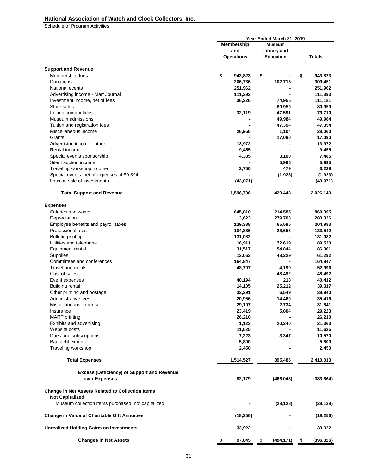Schedule of Program Activities

|                                                                                   | Year Ended March 31, 2019   |                    |                  |
|-----------------------------------------------------------------------------------|-----------------------------|--------------------|------------------|
|                                                                                   | Membership<br><b>Museum</b> |                    |                  |
|                                                                                   | and                         | <b>Library and</b> |                  |
|                                                                                   | <b>Operations</b>           | <b>Education</b>   | <b>Totals</b>    |
| <b>Support and Revenue</b>                                                        |                             |                    |                  |
| Membership dues                                                                   | \$<br>943,823               | \$                 | \$<br>943,823    |
| Donations                                                                         | 206,736                     | 102,715            | 309,451          |
| National events                                                                   | 251,962                     |                    | 251,962          |
| Advertising income - Mart Journal                                                 | 111,393                     |                    | 111,393          |
| Investment income, net of fees                                                    | 36,226                      | 74,955             | 111,181          |
| Store sales                                                                       |                             | 80,959             | 80,959           |
| In-kind contributions                                                             | 32,119                      | 47,591             | 79,710           |
| Museum admissions                                                                 |                             | 49,984             | 49,984           |
| Tuition and registration fees                                                     |                             | 47,394             | 47,394           |
| Miscellaneous income                                                              | 26,956                      | 1,104              | 28,060           |
| Grants                                                                            |                             | 17,090             | 17,090           |
| Advertising income - other                                                        | 13,972                      |                    | 13,972           |
| Rental income                                                                     | 9,455                       |                    | 9,455            |
| Special events sponsorship                                                        | 4,385                       | 3,100              | 7,485            |
| Silent auction income                                                             |                             | 5,995              | 5,995            |
| Traveling workshop income                                                         | 2,750                       | 479                | 3,229            |
| Special events, net of expenses of \$9,394                                        |                             | (1, 923)           | (1,923)          |
| Loss on sale of investments                                                       | (43,071)                    |                    | (43,071)         |
|                                                                                   |                             |                    |                  |
| <b>Total Support and Revenue</b>                                                  | 1,596,706                   | 429,443            | 2,026,149        |
| <b>Expenses</b>                                                                   |                             |                    |                  |
| Salaries and wages                                                                | 645,810                     | 214,585            | 860,395          |
| Depreciation                                                                      | 3,623                       | 279,703            | 283,326          |
| Employee benefits and payroll taxes                                               | 139,388                     | 65,595             | 204,983          |
| Professional fees                                                                 | 104,886                     | 28,656             | 133,542          |
| <b>Bulletin printing</b>                                                          | 131,082                     |                    | 131,082          |
| Utilities and telephone                                                           | 16,911                      | 72,619             | 89,530           |
| Equipment rental                                                                  | 31,517                      | 54,844             | 86,361           |
| Supplies                                                                          | 13,063                      | 48,229             | 61,292           |
| Committees and conferences                                                        | 164,847                     |                    | 164,847          |
| Travel and meals                                                                  | 48,797                      | 4,199              | 52,996           |
| Cost of sales                                                                     |                             | 48,492             | 48,492           |
| Event expenses                                                                    | 40,194                      | 218                | 40,412           |
| <b>Building rental</b>                                                            | 14,105                      | 25,212             | 39,317           |
| Other printing and postage                                                        | 32,391                      | 6,549              | 38,940           |
| Administrative fees                                                               | 20,956                      | 14,460             | 35,416           |
| Miscellaneous expense                                                             | 29,107                      | 2,734              | 31,841           |
| Insurance                                                                         | 23,419                      | 5,804              | 29,223           |
| <b>MART</b> printing                                                              | 26,210                      |                    | 26,210           |
| <b>Exhibits and advertising</b>                                                   | 1,123                       | 20,240             | 21,363           |
| Website costs                                                                     | 11,625                      |                    | 11,625           |
| Dues and subscriptions                                                            | 7,223                       | 3,347              | 10,570           |
| Bad debt expense                                                                  | 5,800                       |                    | 5,800            |
| Traveling workshop                                                                | 2,450                       |                    | 2,450            |
| <b>Total Expenses</b>                                                             | 1,514,527                   | 895,486            | 2,410,013        |
|                                                                                   |                             |                    |                  |
| <b>Excess (Deficiency) of Support and Revenue</b><br>over Expenses                | 82,179                      | (466, 043)         | (383, 864)       |
| <b>Change in Net Assets Related to Collection Items</b><br><b>Not Capitalized</b> |                             |                    |                  |
| Museum collection items purchased, not capitalized                                |                             | (28, 128)          | (28, 128)        |
| <b>Change in Value of Charitable Gift Annuities</b>                               | (18, 256)                   |                    | (18, 256)        |
| <b>Unrealized Holding Gains on Investments</b>                                    | 33,922                      |                    | 33,922           |
| <b>Changes in Net Assets</b>                                                      | \$<br>97,845                | \$<br>(494, 171)   | \$<br>(396, 326) |